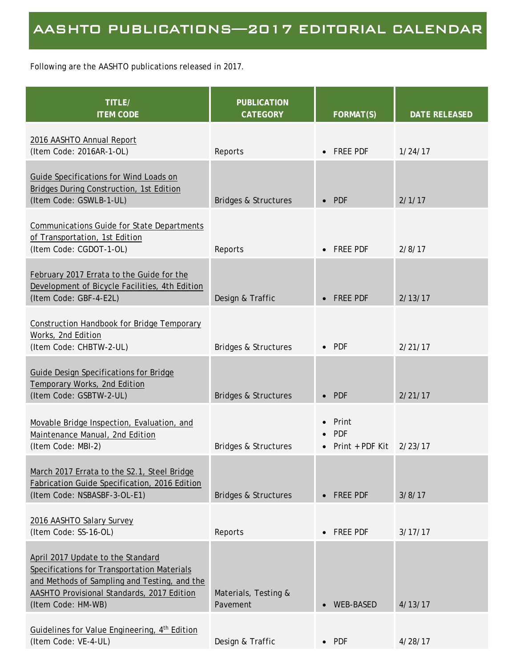Following are the AASHTO publications released in 2017.

| TITLE/<br><b>ITEM CODE</b>                                                                                                                                                                           | <b>PUBLICATION</b><br><b>CATEGORY</b> | <b>FORMAT(S)</b>                                 | <b>DATE RELEASED</b> |
|------------------------------------------------------------------------------------------------------------------------------------------------------------------------------------------------------|---------------------------------------|--------------------------------------------------|----------------------|
| 2016 AASHTO Annual Report<br>(Item Code: 2016AR-1-OL)                                                                                                                                                | Reports                               | <b>FREE PDF</b>                                  | 1/24/17              |
| <b>Guide Specifications for Wind Loads on</b><br>Bridges During Construction, 1st Edition<br>(Item Code: GSWLB-1-UL)                                                                                 | <b>Bridges &amp; Structures</b>       | <b>PDF</b>                                       | 2/1/17               |
| <b>Communications Guide for State Departments</b><br>of Transportation, 1st Edition<br>(Item Code: CGDOT-1-OL)                                                                                       | Reports                               | • FREE PDF                                       | 2/8/17               |
| February 2017 Errata to the Guide for the<br>Development of Bicycle Facilities, 4th Edition<br>(Item Code: GBF-4-E2L)                                                                                | Design & Traffic                      | <b>FREE PDF</b>                                  | 2/13/17              |
| <b>Construction Handbook for Bridge Temporary</b><br>Works, 2nd Edition<br>(Item Code: CHBTW-2-UL)                                                                                                   | <b>Bridges &amp; Structures</b>       | $\bullet$ PDF                                    | 2/21/17              |
| Guide Design Specifications for Bridge<br><b>Temporary Works, 2nd Edition</b><br>(Item Code: GSBTW-2-UL)                                                                                             | <b>Bridges &amp; Structures</b>       | $\bullet$ PDF                                    | 2/21/17              |
| Movable Bridge Inspection, Evaluation, and<br>Maintenance Manual, 2nd Edition<br>(Item Code: MBI-2)                                                                                                  | <b>Bridges &amp; Structures</b>       | Print<br><b>PDF</b><br>Print + PDF Kit $2/23/17$ |                      |
| March 2017 Errata to the S2.1, Steel Bridge<br>Fabrication Guide Specification, 2016 Edition<br>(Item Code: NSBASBF-3-OL-E1)                                                                         | <b>Bridges &amp; Structures</b>       | • FREE PDF                                       | 3/8/17               |
| 2016 AASHTO Salary Survey<br>(Item Code: SS-16-OL)                                                                                                                                                   | Reports                               | • FREE PDF                                       | 3/17/17              |
| April 2017 Update to the Standard<br>Specifications for Transportation Materials<br>and Methods of Sampling and Testing, and the<br>AASHTO Provisional Standards, 2017 Edition<br>(Item Code: HM-WB) | Materials, Testing &<br>Pavement      | <b>WEB-BASED</b>                                 | 4/13/17              |
| Guidelines for Value Engineering, 4th Edition<br>(Item Code: VE-4-UL)                                                                                                                                | Design & Traffic                      | $\bullet$ PDF                                    | 4/28/17              |